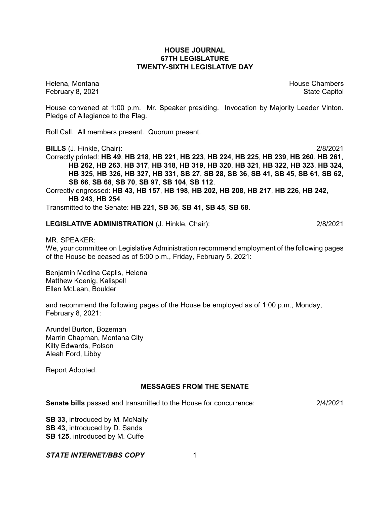### **HOUSE JOURNAL 67TH LEGISLATURE TWENTY-SIXTH LEGISLATIVE DAY**

Helena, Montana House Chambers Chambers Chambers and House Chambers Chambers Chambers Chambers Chambers Chambers Chambers Chambers Chambers Chambers Chambers Chambers Chambers Chambers Chambers Chambers Chambers Chambers C February 8, 2021 **State Capitol** 

House convened at 1:00 p.m. Mr. Speaker presiding. Invocation by Majority Leader Vinton. Pledge of Allegiance to the Flag.

Roll Call. All members present. Quorum present.

**BILLS** (J. Hinkle, Chair): 2/8/2021

Correctly printed: **HB 49**, **HB 218**, **HB 221**, **HB 223**, **HB 224**, **HB 225**, **HB 239**, **HB 260**, **HB 261**, **HB 262**, **HB 263**, **HB 317**, **HB 318**, **HB 319**, **HB 320**, **HB 321**, **HB 322**, **HB 323**, **HB 324**, HB 325, HB 326, HB 327, HB 331, SB 27, SB 28, SB 36, SB 41, SB 45, SB 61, SB 62, **SB 66**, **SB 68**, **SB 70**, **SB 97**, **SB 104**, **SB 112**.

Correctly engrossed: **HB 43**, **HB 157**, **HB 198**, **HB 202**, **HB 208**, **HB 217**, **HB 226**, **HB 242**, **HB 243**, **HB 254**.

Transmitted to the Senate: **HB 221**, **SB 36**, **SB 41**, **SB 45**, **SB 68**.

## **LEGISLATIVE ADMINISTRATION** (J. Hinkle, Chair): 2/8/2021

MR. SPEAKER:

We, your committee on Legislative Administration recommend employment of the following pages of the House be ceased as of 5:00 p.m., Friday, February 5, 2021:

Benjamin Medina Caplis, Helena Matthew Koenig, Kalispell Ellen McLean, Boulder

and recommend the following pages of the House be employed as of 1:00 p.m., Monday, February 8, 2021:

Arundel Burton, Bozeman Marrin Chapman, Montana City Kilty Edwards, Polson Aleah Ford, Libby

Report Adopted.

# **MESSAGES FROM THE SENATE**

**Senate bills** passed and transmitted to the House for concurrence: 2/4/2021

**SB 33**, introduced by M. McNally **SB 43**, introduced by D. Sands **SB 125**, introduced by M. Cuffe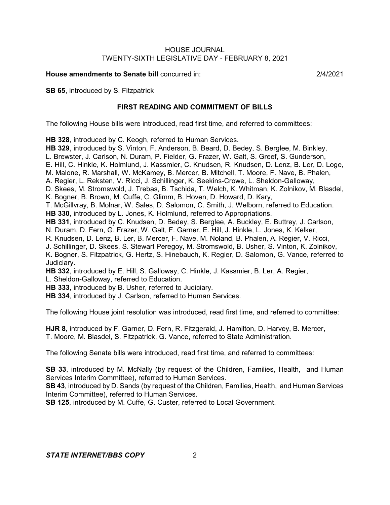**House amendments to Senate bill** concurred in: 2/4/2021

**SB 65**, introduced by S. Fitzpatrick

### **FIRST READING AND COMMITMENT OF BILLS**

The following House bills were introduced, read first time, and referred to committees:

**HB 328**, introduced by C. Keogh, referred to Human Services.

**HB 329**, introduced by S. Vinton, F. Anderson, B. Beard, D. Bedey, S. Berglee, M. Binkley, L. Brewster, J. Carlson, N. Duram, P. Fielder, G. Frazer, W. Galt, S. Greef, S. Gunderson, E. Hill, C. Hinkle, K. Holmlund, J. Kassmier, C. Knudsen, R. Knudsen, D. Lenz, B. Ler, D. Loge, M. Malone, R. Marshall, W. McKamey, B. Mercer, B. Mitchell, T. Moore, F. Nave, B. Phalen, A. Regier, L. Reksten, V. Ricci, J. Schillinger, K. Seekins-Crowe, L. Sheldon-Galloway, D. Skees, M. Stromswold, J. Trebas, B. Tschida, T. Welch, K. Whitman, K. Zolnikov, M. Blasdel, K. Bogner, B. Brown, M. Cuffe, C. Glimm, B. Hoven, D. Howard, D. Kary, T. McGillvray, B. Molnar, W. Sales, D. Salomon, C. Smith, J. Welborn, referred to Education. **HB 330**, introduced by L. Jones, K. Holmlund, referred to Appropriations. **HB 331**, introduced by C. Knudsen, D. Bedey, S. Berglee, A. Buckley, E. Buttrey, J. Carlson, N. Duram, D. Fern, G. Frazer, W. Galt, F. Garner, E. Hill, J. Hinkle, L. Jones, K. Kelker, R. Knudsen, D. Lenz, B. Ler, B. Mercer, F. Nave, M. Noland, B. Phalen, A. Regier, V. Ricci, J. Schillinger, D. Skees, S. Stewart Peregoy, M. Stromswold, B. Usher, S. Vinton, K. Zolnikov, K. Bogner, S. Fitzpatrick, G. Hertz, S. Hinebauch, K. Regier, D. Salomon, G. Vance, referred to Judiciary.

**HB 332**, introduced by E. Hill, S. Galloway, C. Hinkle, J. Kassmier, B. Ler, A. Regier, L. Sheldon-Galloway, referred to Education.

**HB 333**, introduced by B. Usher, referred to Judiciary.

**HB 334**, introduced by J. Carlson, referred to Human Services.

The following House joint resolution was introduced, read first time, and referred to committee:

**HJR 8**, introduced by F. Garner, D. Fern, R. Fitzgerald, J. Hamilton, D. Harvey, B. Mercer, T. Moore, M. Blasdel, S. Fitzpatrick, G. Vance, referred to State Administration.

The following Senate bills were introduced, read first time, and referred to committees:

**SB 33**, introduced by M. McNally (by request of the Children, Families, Health, and Human Services Interim Committee), referred to Human Services.

**SB 43**, introduced by D. Sands (by request of the Children, Families, Health, and Human Services Interim Committee), referred to Human Services.

**SB 125**, introduced by M. Cuffe, G. Custer, referred to Local Government.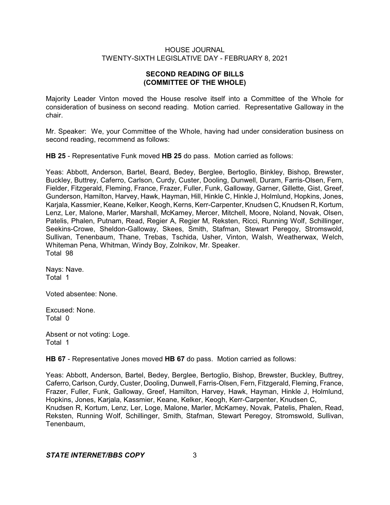# **SECOND READING OF BILLS (COMMITTEE OF THE WHOLE)**

Majority Leader Vinton moved the House resolve itself into a Committee of the Whole for consideration of business on second reading. Motion carried. Representative Galloway in the chair.

Mr. Speaker: We, your Committee of the Whole, having had under consideration business on second reading, recommend as follows:

**HB 25** - Representative Funk moved **HB 25** do pass. Motion carried as follows:

Yeas: Abbott, Anderson, Bartel, Beard, Bedey, Berglee, Bertoglio, Binkley, Bishop, Brewster, Buckley, Buttrey, Caferro, Carlson, Curdy, Custer, Dooling, Dunwell, Duram, Farris-Olsen, Fern, Fielder, Fitzgerald, Fleming, France, Frazer, Fuller, Funk, Galloway, Garner, Gillette, Gist, Greef, Gunderson, Hamilton, Harvey, Hawk, Hayman, Hill, Hinkle C, Hinkle J, Holmlund, Hopkins, Jones, Karjala, Kassmier, Keane, Kelker, Keogh, Kerns, Kerr-Carpenter, Knudsen C, Knudsen R, Kortum, Lenz, Ler, Malone, Marler, Marshall, McKamey, Mercer, Mitchell, Moore, Noland, Novak, Olsen, Patelis, Phalen, Putnam, Read, Regier A, Regier M, Reksten, Ricci, Running Wolf, Schillinger, Seekins-Crowe, Sheldon-Galloway, Skees, Smith, Stafman, Stewart Peregoy, Stromswold, Sullivan, Tenenbaum, Thane, Trebas, Tschida, Usher, Vinton, Walsh, Weatherwax, Welch, Whiteman Pena, Whitman, Windy Boy, Zolnikov, Mr. Speaker. Total 98

Nays: Nave. Total 1

Voted absentee: None.

Excused: None. Total 0

Absent or not voting: Loge. Total 1

**HB 67** - Representative Jones moved **HB 67** do pass. Motion carried as follows:

Yeas: Abbott, Anderson, Bartel, Bedey, Berglee, Bertoglio, Bishop, Brewster, Buckley, Buttrey, Caferro, Carlson, Curdy, Custer, Dooling, Dunwell, Farris-Olsen, Fern, Fitzgerald, Fleming, France, Frazer, Fuller, Funk, Galloway, Greef, Hamilton, Harvey, Hawk, Hayman, Hinkle J, Holmlund, Hopkins, Jones, Karjala, Kassmier, Keane, Kelker, Keogh, Kerr-Carpenter, Knudsen C, Knudsen R, Kortum, Lenz, Ler, Loge, Malone, Marler, McKamey, Novak, Patelis, Phalen, Read, Reksten, Running Wolf, Schillinger, Smith, Stafman, Stewart Peregoy, Stromswold, Sullivan, Tenenbaum,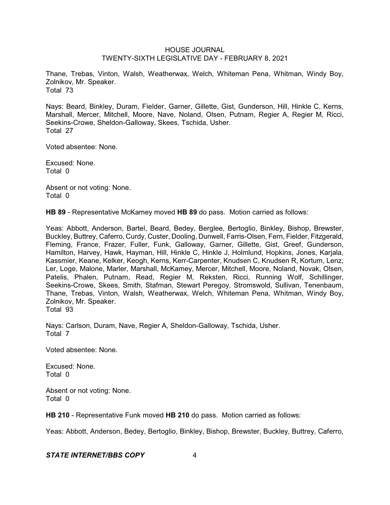Thane, Trebas, Vinton, Walsh, Weatherwax, Welch, Whiteman Pena, Whitman, Windy Boy, Zolnikov, Mr. Speaker. Total 73

Nays: Beard, Binkley, Duram, Fielder, Garner, Gillette, Gist, Gunderson, Hill, Hinkle C, Kerns, Marshall, Mercer, Mitchell, Moore, Nave, Noland, Olsen, Putnam, Regier A, Regier M, Ricci, Seekins-Crowe, Sheldon-Galloway, Skees, Tschida, Usher. Total 27

Voted absentee: None.

Excused: None. Total 0

Absent or not voting: None. Total 0

**HB 89** - Representative McKamey moved **HB 89** do pass. Motion carried as follows:

Yeas: Abbott, Anderson, Bartel, Beard, Bedey, Berglee, Bertoglio, Binkley, Bishop, Brewster, Buckley, Buttrey, Caferro, Curdy, Custer, Dooling, Dunwell, Farris-Olsen, Fern, Fielder, Fitzgerald, Fleming, France, Frazer, Fuller, Funk, Galloway, Garner, Gillette, Gist, Greef, Gunderson, Hamilton, Harvey, Hawk, Hayman, Hill, Hinkle C, Hinkle J, Holmlund, Hopkins, Jones, Karjala, Kassmier, Keane, Kelker, Keogh, Kerns, Kerr-Carpenter, Knudsen C, Knudsen R, Kortum, Lenz, Ler, Loge, Malone, Marler, Marshall, McKamey, Mercer, Mitchell, Moore, Noland, Novak, Olsen, Patelis, Phalen, Putnam, Read, Regier M, Reksten, Ricci, Running Wolf, Schillinger, Seekins-Crowe, Skees, Smith, Stafman, Stewart Peregoy, Stromswold, Sullivan, Tenenbaum, Thane, Trebas, Vinton, Walsh, Weatherwax, Welch, Whiteman Pena, Whitman, Windy Boy, Zolnikov, Mr. Speaker. Total 93

Nays: Carlson, Duram, Nave, Regier A, Sheldon-Galloway, Tschida, Usher. Total 7

Voted absentee: None.

Excused: None. Total 0

Absent or not voting: None. Total 0

**HB 210** - Representative Funk moved **HB 210** do pass. Motion carried as follows:

Yeas: Abbott, Anderson, Bedey, Bertoglio, Binkley, Bishop, Brewster, Buckley, Buttrey, Caferro,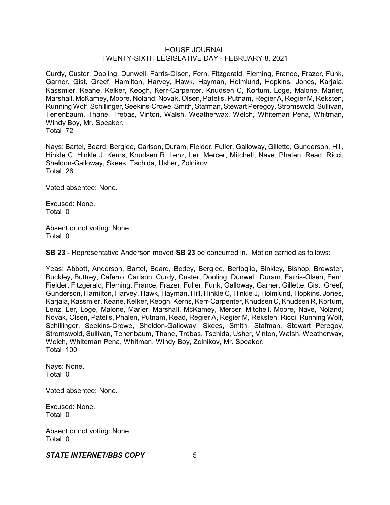Curdy, Custer, Dooling, Dunwell, Farris-Olsen, Fern, Fitzgerald, Fleming, France, Frazer, Funk, Garner, Gist, Greef, Hamilton, Harvey, Hawk, Hayman, Holmlund, Hopkins, Jones, Karjala, Kassmier, Keane, Kelker, Keogh, Kerr-Carpenter, Knudsen C, Kortum, Loge, Malone, Marler, Marshall, McKamey, Moore, Noland, Novak, Olsen, Patelis, Putnam, Regier A, Regier M, Reksten, Running Wolf, Schillinger, Seekins-Crowe, Smith, Stafman, Stewart Peregoy, Stromswold, Sullivan, Tenenbaum, Thane, Trebas, Vinton, Walsh, Weatherwax, Welch, Whiteman Pena, Whitman, Windy Boy, Mr. Speaker. Total 72

Nays: Bartel, Beard, Berglee, Carlson, Duram, Fielder, Fuller, Galloway, Gillette, Gunderson, Hill, Hinkle C, Hinkle J, Kerns, Knudsen R, Lenz, Ler, Mercer, Mitchell, Nave, Phalen, Read, Ricci, Sheldon-Galloway, Skees, Tschida, Usher, Zolnikov. Total 28

Voted absentee: None.

Excused: None. Total 0

Absent or not voting: None. Total 0

**SB 23** - Representative Anderson moved **SB 23** be concurred in. Motion carried as follows:

Yeas: Abbott, Anderson, Bartel, Beard, Bedey, Berglee, Bertoglio, Binkley, Bishop, Brewster, Buckley, Buttrey, Caferro, Carlson, Curdy, Custer, Dooling, Dunwell, Duram, Farris-Olsen, Fern, Fielder, Fitzgerald, Fleming, France, Frazer, Fuller, Funk, Galloway, Garner, Gillette, Gist, Greef, Gunderson, Hamilton, Harvey, Hawk, Hayman, Hill, Hinkle C, Hinkle J, Holmlund, Hopkins, Jones, Karjala, Kassmier, Keane, Kelker, Keogh, Kerns, Kerr-Carpenter, Knudsen C, Knudsen R, Kortum, Lenz, Ler, Loge, Malone, Marler, Marshall, McKamey, Mercer, Mitchell, Moore, Nave, Noland, Novak, Olsen, Patelis, Phalen, Putnam, Read, Regier A, Regier M, Reksten, Ricci, Running Wolf, Schillinger, Seekins-Crowe, Sheldon-Galloway, Skees, Smith, Stafman, Stewart Peregoy, Stromswold, Sullivan, Tenenbaum, Thane, Trebas, Tschida, Usher, Vinton, Walsh, Weatherwax, Welch, Whiteman Pena, Whitman, Windy Boy, Zolnikov, Mr. Speaker. Total 100

Nays: None. Total 0

Voted absentee: None.

Excused: None. Total 0

Absent or not voting: None. Total 0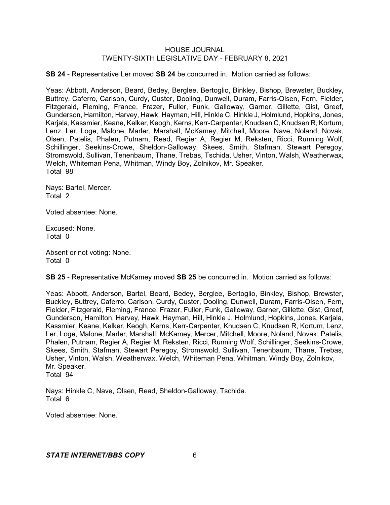**SB 24** - Representative Ler moved **SB 24** be concurred in. Motion carried as follows:

Yeas: Abbott, Anderson, Beard, Bedey, Berglee, Bertoglio, Binkley, Bishop, Brewster, Buckley, Buttrey, Caferro, Carlson, Curdy, Custer, Dooling, Dunwell, Duram, Farris-Olsen, Fern, Fielder, Fitzgerald, Fleming, France, Frazer, Fuller, Funk, Galloway, Garner, Gillette, Gist, Greef, Gunderson, Hamilton, Harvey, Hawk, Hayman, Hill, Hinkle C, Hinkle J, Holmlund, Hopkins, Jones, Karjala, Kassmier, Keane, Kelker, Keogh, Kerns, Kerr-Carpenter, Knudsen C, Knudsen R, Kortum, Lenz, Ler, Loge, Malone, Marler, Marshall, McKamey, Mitchell, Moore, Nave, Noland, Novak, Olsen, Patelis, Phalen, Putnam, Read, Regier A, Regier M, Reksten, Ricci, Running Wolf, Schillinger, Seekins-Crowe, Sheldon-Galloway, Skees, Smith, Stafman, Stewart Peregoy, Stromswold, Sullivan, Tenenbaum, Thane, Trebas, Tschida, Usher, Vinton, Walsh, Weatherwax, Welch, Whiteman Pena, Whitman, Windy Boy, Zolnikov, Mr. Speaker. Total 98

Nays: Bartel, Mercer. Total 2

Voted absentee: None.

Excused: None. Total 0

Absent or not voting: None. Total 0

**SB 25** - Representative McKamey moved **SB 25** be concurred in. Motion carried as follows:

Yeas: Abbott, Anderson, Bartel, Beard, Bedey, Berglee, Bertoglio, Binkley, Bishop, Brewster, Buckley, Buttrey, Caferro, Carlson, Curdy, Custer, Dooling, Dunwell, Duram, Farris-Olsen, Fern, Fielder, Fitzgerald, Fleming, France, Frazer, Fuller, Funk, Galloway, Garner, Gillette, Gist, Greef, Gunderson, Hamilton, Harvey, Hawk, Hayman, Hill, Hinkle J, Holmlund, Hopkins, Jones, Karjala, Kassmier, Keane, Kelker, Keogh, Kerns, Kerr-Carpenter, Knudsen C, Knudsen R, Kortum, Lenz, Ler, Loge, Malone, Marler, Marshall, McKamey, Mercer, Mitchell, Moore, Noland, Novak, Patelis, Phalen, Putnam, Regier A, Regier M, Reksten, Ricci, Running Wolf, Schillinger, Seekins-Crowe, Skees, Smith, Stafman, Stewart Peregoy, Stromswold, Sullivan, Tenenbaum, Thane, Trebas, Usher, Vinton, Walsh, Weatherwax, Welch, Whiteman Pena, Whitman, Windy Boy, Zolnikov, Mr. Speaker. Total 94

Nays: Hinkle C, Nave, Olsen, Read, Sheldon-Galloway, Tschida. Total 6

Voted absentee: None.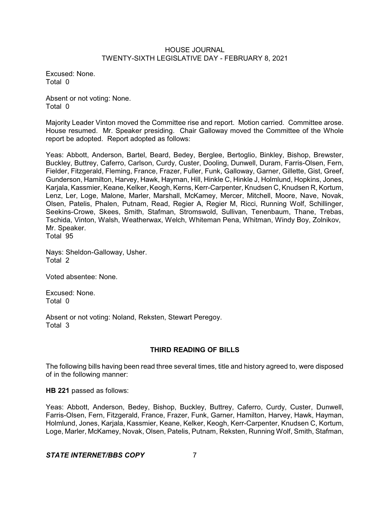Excused: None. Total 0

Absent or not voting: None. Total 0

Majority Leader Vinton moved the Committee rise and report. Motion carried. Committee arose. House resumed. Mr. Speaker presiding. Chair Galloway moved the Committee of the Whole report be adopted. Report adopted as follows:

Yeas: Abbott, Anderson, Bartel, Beard, Bedey, Berglee, Bertoglio, Binkley, Bishop, Brewster, Buckley, Buttrey, Caferro, Carlson, Curdy, Custer, Dooling, Dunwell, Duram, Farris-Olsen, Fern, Fielder, Fitzgerald, Fleming, France, Frazer, Fuller, Funk, Galloway, Garner, Gillette, Gist, Greef, Gunderson, Hamilton, Harvey, Hawk, Hayman, Hill, Hinkle C, Hinkle J, Holmlund, Hopkins, Jones, Karjala, Kassmier, Keane, Kelker, Keogh, Kerns, Kerr-Carpenter, Knudsen C, Knudsen R, Kortum, Lenz, Ler, Loge, Malone, Marler, Marshall, McKamey, Mercer, Mitchell, Moore, Nave, Novak, Olsen, Patelis, Phalen, Putnam, Read, Regier A, Regier M, Ricci, Running Wolf, Schillinger, Seekins-Crowe, Skees, Smith, Stafman, Stromswold, Sullivan, Tenenbaum, Thane, Trebas, Tschida, Vinton, Walsh, Weatherwax, Welch, Whiteman Pena, Whitman, Windy Boy, Zolnikov, Mr. Speaker. Total 95

Nays: Sheldon-Galloway, Usher. Total 2

Voted absentee: None.

Excused: None. Total 0

Absent or not voting: Noland, Reksten, Stewart Peregoy. Total 3

# **THIRD READING OF BILLS**

The following bills having been read three several times, title and history agreed to, were disposed of in the following manner:

**HB 221** passed as follows:

Yeas: Abbott, Anderson, Bedey, Bishop, Buckley, Buttrey, Caferro, Curdy, Custer, Dunwell, Farris-Olsen, Fern, Fitzgerald, France, Frazer, Funk, Garner, Hamilton, Harvey, Hawk, Hayman, Holmlund, Jones, Karjala, Kassmier, Keane, Kelker, Keogh, Kerr-Carpenter, Knudsen C, Kortum, Loge, Marler, McKamey, Novak, Olsen, Patelis, Putnam, Reksten, Running Wolf, Smith, Stafman,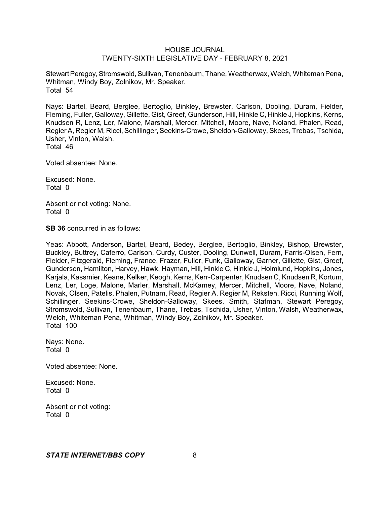Stewart Peregoy, Stromswold, Sullivan, Tenenbaum, Thane, Weatherwax, Welch, Whiteman Pena, Whitman, Windy Boy, Zolnikov, Mr. Speaker. Total 54

Nays: Bartel, Beard, Berglee, Bertoglio, Binkley, Brewster, Carlson, Dooling, Duram, Fielder, Fleming, Fuller, Galloway, Gillette, Gist, Greef, Gunderson, Hill, Hinkle C, Hinkle J, Hopkins, Kerns, Knudsen R, Lenz, Ler, Malone, Marshall, Mercer, Mitchell, Moore, Nave, Noland, Phalen, Read, Regier A, Regier M, Ricci, Schillinger, Seekins-Crowe, Sheldon-Galloway, Skees, Trebas, Tschida, Usher, Vinton, Walsh. Total 46

Voted absentee: None.

Excused: None. Total 0

Absent or not voting: None. Total 0

**SB 36** concurred in as follows:

Yeas: Abbott, Anderson, Bartel, Beard, Bedey, Berglee, Bertoglio, Binkley, Bishop, Brewster, Buckley, Buttrey, Caferro, Carlson, Curdy, Custer, Dooling, Dunwell, Duram, Farris-Olsen, Fern, Fielder, Fitzgerald, Fleming, France, Frazer, Fuller, Funk, Galloway, Garner, Gillette, Gist, Greef, Gunderson, Hamilton, Harvey, Hawk, Hayman, Hill, Hinkle C, Hinkle J, Holmlund, Hopkins, Jones, Karjala, Kassmier, Keane, Kelker, Keogh, Kerns, Kerr-Carpenter, Knudsen C, Knudsen R, Kortum, Lenz, Ler, Loge, Malone, Marler, Marshall, McKamey, Mercer, Mitchell, Moore, Nave, Noland, Novak, Olsen, Patelis, Phalen, Putnam, Read, Regier A, Regier M, Reksten, Ricci, Running Wolf, Schillinger, Seekins-Crowe, Sheldon-Galloway, Skees, Smith, Stafman, Stewart Peregoy, Stromswold, Sullivan, Tenenbaum, Thane, Trebas, Tschida, Usher, Vinton, Walsh, Weatherwax, Welch, Whiteman Pena, Whitman, Windy Boy, Zolnikov, Mr. Speaker. Total 100

Nays: None. Total 0

Voted absentee: None.

Excused: None. Total 0

Absent or not voting: Total 0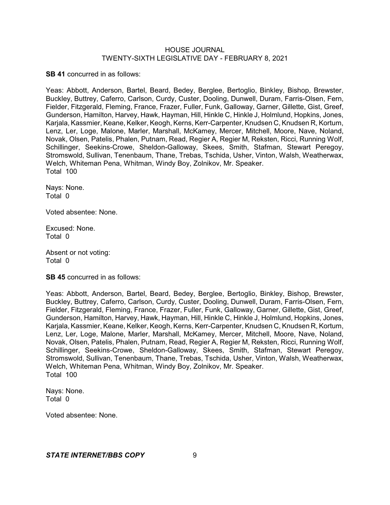**SB 41** concurred in as follows:

Yeas: Abbott, Anderson, Bartel, Beard, Bedey, Berglee, Bertoglio, Binkley, Bishop, Brewster, Buckley, Buttrey, Caferro, Carlson, Curdy, Custer, Dooling, Dunwell, Duram, Farris-Olsen, Fern, Fielder, Fitzgerald, Fleming, France, Frazer, Fuller, Funk, Galloway, Garner, Gillette, Gist, Greef, Gunderson, Hamilton, Harvey, Hawk, Hayman, Hill, Hinkle C, Hinkle J, Holmlund, Hopkins, Jones, Karjala, Kassmier, Keane, Kelker, Keogh, Kerns, Kerr-Carpenter, Knudsen C, Knudsen R, Kortum, Lenz, Ler, Loge, Malone, Marler, Marshall, McKamey, Mercer, Mitchell, Moore, Nave, Noland, Novak, Olsen, Patelis, Phalen, Putnam, Read, Regier A, Regier M, Reksten, Ricci, Running Wolf, Schillinger, Seekins-Crowe, Sheldon-Galloway, Skees, Smith, Stafman, Stewart Peregoy, Stromswold, Sullivan, Tenenbaum, Thane, Trebas, Tschida, Usher, Vinton, Walsh, Weatherwax, Welch, Whiteman Pena, Whitman, Windy Boy, Zolnikov, Mr. Speaker. Total 100

Nays: None. Total 0

Voted absentee: None.

Excused: None. Total 0

Absent or not voting: Total 0

**SB 45** concurred in as follows:

Yeas: Abbott, Anderson, Bartel, Beard, Bedey, Berglee, Bertoglio, Binkley, Bishop, Brewster, Buckley, Buttrey, Caferro, Carlson, Curdy, Custer, Dooling, Dunwell, Duram, Farris-Olsen, Fern, Fielder, Fitzgerald, Fleming, France, Frazer, Fuller, Funk, Galloway, Garner, Gillette, Gist, Greef, Gunderson, Hamilton, Harvey, Hawk, Hayman, Hill, Hinkle C, Hinkle J, Holmlund, Hopkins, Jones, Karjala, Kassmier, Keane, Kelker, Keogh, Kerns, Kerr-Carpenter, Knudsen C, Knudsen R, Kortum, Lenz, Ler, Loge, Malone, Marler, Marshall, McKamey, Mercer, Mitchell, Moore, Nave, Noland, Novak, Olsen, Patelis, Phalen, Putnam, Read, Regier A, Regier M, Reksten, Ricci, Running Wolf, Schillinger, Seekins-Crowe, Sheldon-Galloway, Skees, Smith, Stafman, Stewart Peregoy, Stromswold, Sullivan, Tenenbaum, Thane, Trebas, Tschida, Usher, Vinton, Walsh, Weatherwax, Welch, Whiteman Pena, Whitman, Windy Boy, Zolnikov, Mr. Speaker. Total 100

Nays: None. Total 0

Voted absentee: None.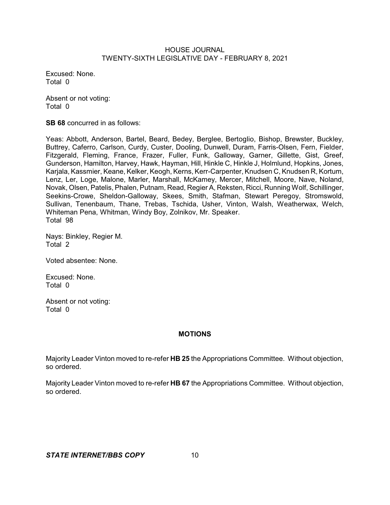Excused: None. Total 0

Absent or not voting: Total 0

**SB 68** concurred in as follows:

Yeas: Abbott, Anderson, Bartel, Beard, Bedey, Berglee, Bertoglio, Bishop, Brewster, Buckley, Buttrey, Caferro, Carlson, Curdy, Custer, Dooling, Dunwell, Duram, Farris-Olsen, Fern, Fielder, Fitzgerald, Fleming, France, Frazer, Fuller, Funk, Galloway, Garner, Gillette, Gist, Greef, Gunderson, Hamilton, Harvey, Hawk, Hayman, Hill, Hinkle C, Hinkle J, Holmlund, Hopkins, Jones, Karjala, Kassmier, Keane, Kelker, Keogh, Kerns, Kerr-Carpenter, Knudsen C, Knudsen R, Kortum, Lenz, Ler, Loge, Malone, Marler, Marshall, McKamey, Mercer, Mitchell, Moore, Nave, Noland, Novak, Olsen, Patelis, Phalen, Putnam, Read, Regier A, Reksten, Ricci, Running Wolf, Schillinger, Seekins-Crowe, Sheldon-Galloway, Skees, Smith, Stafman, Stewart Peregoy, Stromswold, Sullivan, Tenenbaum, Thane, Trebas, Tschida, Usher, Vinton, Walsh, Weatherwax, Welch, Whiteman Pena, Whitman, Windy Boy, Zolnikov, Mr. Speaker. Total 98

Nays: Binkley, Regier M. Total 2

Voted absentee: None.

Excused: None. Total 0

Absent or not voting: Total 0

## **MOTIONS**

Majority Leader Vinton moved to re-refer **HB 25** the Appropriations Committee. Without objection, so ordered.

Majority Leader Vinton moved to re-refer **HB 67** the Appropriations Committee. Without objection, so ordered.